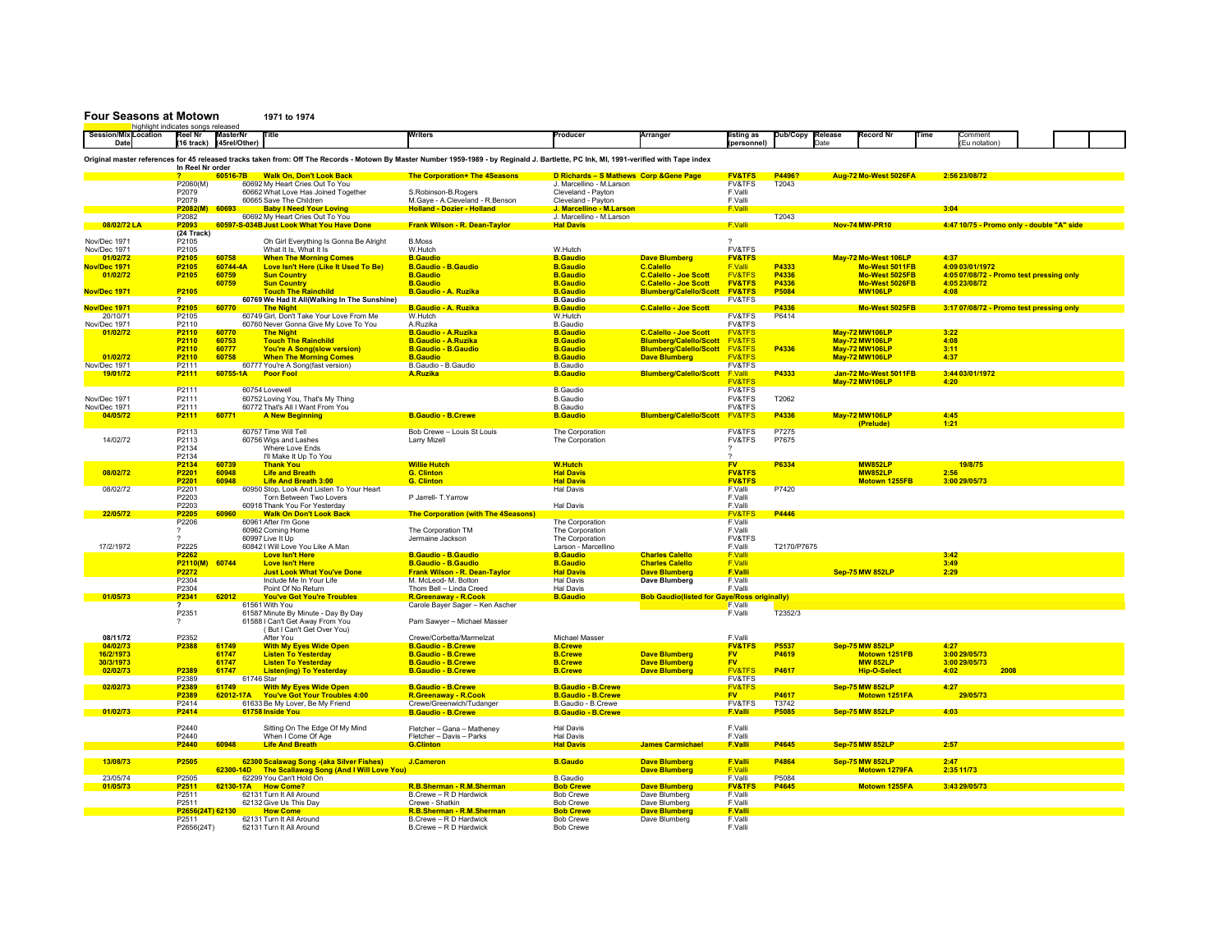## **Four Seasons at Motown 1971 to 1974**

|                                                                                                                                                                                         | highlight indicates songs released |                   |                           |                                              |                                            |                                         |                                                    |                          |                  |                        |                       |      |                                           |      |  |
|-----------------------------------------------------------------------------------------------------------------------------------------------------------------------------------------|------------------------------------|-------------------|---------------------------|----------------------------------------------|--------------------------------------------|-----------------------------------------|----------------------------------------------------|--------------------------|------------------|------------------------|-----------------------|------|-------------------------------------------|------|--|
| Session/Mix Location                                                                                                                                                                    |                                    | <b>Reel Nr</b>    | <b>MasterN</b>            |                                              | Vriters                                    | Producer                                | Arranger                                           | isting as                | Dub/Copy Release |                        | Record Nr             | Time | ommen                                     |      |  |
| Date                                                                                                                                                                                    |                                    |                   | (16 track) (45 rel/Other) |                                              |                                            |                                         |                                                    | (personnel)              | <b>Date</b>      |                        |                       |      | Eu notation)                              |      |  |
|                                                                                                                                                                                         |                                    |                   |                           |                                              |                                            |                                         |                                                    |                          |                  |                        |                       |      |                                           |      |  |
| Original master references for 45 released tracks taken from: Off The Records - Motown By Master Number 1959-1989 - by Reginald J. Bartlette, PC Ink, MI, 1991-verified with Tape index |                                    |                   |                           |                                              |                                            |                                         |                                                    |                          |                  |                        |                       |      |                                           |      |  |
|                                                                                                                                                                                         |                                    | In Reel Nr order  |                           |                                              |                                            |                                         |                                                    |                          |                  |                        |                       |      |                                           |      |  |
|                                                                                                                                                                                         |                                    |                   | 60516-7B                  | <b>Walk On, Don't Look Back</b>              | The Corporation+ The 4Seasons              | D Richards - S Mathews Corp & Gene Page |                                                    | <b>FV&amp;TFS</b>        | P44961           |                        | Aug-72 Mo-West 5026FA |      | 2:56 23/08/72                             |      |  |
|                                                                                                                                                                                         |                                    | P2060(M)          |                           | 60692 My Heart Cries Out To You              |                                            | J. Marcellino - M.Larson                |                                                    | <b>FV&amp;TFS</b>        | T2043            |                        |                       |      |                                           |      |  |
|                                                                                                                                                                                         |                                    | P2079             |                           | 60662 What Love Has Joined Together          | S.Robinson-B.Rogers                        | Cleveland - Pavton                      |                                                    | F.Valli                  |                  |                        |                       |      |                                           |      |  |
|                                                                                                                                                                                         |                                    | P2079             |                           | 60665 Save The Children                      | M.Gaye - A.Cleveland - R.Benson            | Cleveland - Payton                      |                                                    | F.Valli                  |                  |                        |                       |      |                                           |      |  |
|                                                                                                                                                                                         |                                    |                   | 60693                     |                                              |                                            |                                         |                                                    |                          |                  |                        |                       |      |                                           |      |  |
|                                                                                                                                                                                         |                                    | P2082(M)          |                           | <b>Baby I Need Your Loving</b>               | <b>Holland - Dozier - Holland</b>          | J. Marcellino - M.Larson                |                                                    | <b>F.Valli</b>           |                  |                        |                       | 3:04 |                                           |      |  |
|                                                                                                                                                                                         |                                    | P2082             |                           | 60692 My Heart Cries Out To You              |                                            | J. Marcellino - M.Larson                |                                                    |                          | T2043            |                        |                       |      |                                           |      |  |
| 08/02/72 LA                                                                                                                                                                             |                                    | P2093             |                           | 60597-S-034B Just Look What You Have Done    | <b>Frank Wilson - R. Dean-Taylor</b>       | <b>Hal Davis</b>                        |                                                    | <b>F.Valli</b>           |                  | <b>Nov-74 MW-PR10</b>  |                       |      | 4:47 10/75 - Promo only - double "A" side |      |  |
|                                                                                                                                                                                         |                                    | (24 Track)        |                           |                                              |                                            |                                         |                                                    |                          |                  |                        |                       |      |                                           |      |  |
| Nov/Dec 1971                                                                                                                                                                            |                                    | P <sub>2105</sub> |                           | Oh Girl Everything Is Gonna Be Alright       | <b>B.Moss</b>                              |                                         |                                                    | $\overline{\phantom{a}}$ |                  |                        |                       |      |                                           |      |  |
| Nov/Dec 1971                                                                                                                                                                            |                                    | P2105             |                           | What It Is, What It Is                       | W.Hutch                                    | W.Hutch                                 |                                                    | <b>FV&amp;TFS</b>        |                  |                        |                       |      |                                           |      |  |
| 01/02/72                                                                                                                                                                                |                                    | P2105             | 60758                     | <b>When The Morning Comes</b>                | <b>B.Gaudio</b>                            | <b>B.Gaudio</b>                         | <b>Dave Blumberg</b>                               | <b>FV&amp;TFS</b>        |                  |                        | May-72 Mo-West 106LP  | 4:37 |                                           |      |  |
| Nov/Dec 1971                                                                                                                                                                            |                                    | P2105             | 60744-4A                  | Love Isn't Here (Like It Used To Be)         | <b>B.Gaudio - B.Gaudio</b>                 | <b>B.Gaudio</b>                         | <b>C.Calello</b>                                   | F.Valli                  | P4333            |                        | Mo-West 5011FB        |      | 4:09 03/01/1972                           |      |  |
| 01/02/72                                                                                                                                                                                |                                    | P2105             | 60759                     | <b>Sun Country</b>                           | <b>B.Gaudio</b>                            | <b>B.Gaudio</b>                         | <b>C.Calello - Joe Scott</b>                       | <b>FV&amp;TFS</b>        | P4336            |                        | Mo-West 5025FB        |      | 4:05 07/08/72 - Promo test pressing only  |      |  |
|                                                                                                                                                                                         |                                    |                   | 60759                     | <b>Sun Country</b>                           | <b>B.Gaudio</b>                            | <b>B.Gaudio</b>                         | <b>C.Calello - Joe Scott</b>                       | <b>FV&amp;TFS</b>        | P4336            |                        | Mo-West 5026FB        |      | 4:05 23/08/72                             |      |  |
|                                                                                                                                                                                         |                                    |                   |                           |                                              |                                            |                                         |                                                    |                          |                  |                        |                       |      |                                           |      |  |
| Nov/Dec 1971                                                                                                                                                                            |                                    | P2105             |                           | <b>Touch The Rainchild</b>                   | <b>B.Gaudio - A. Ruzika</b>                | <b>B.Gaudio</b>                         | <b>Blumberg/Calello/Scott</b>                      | <b>FV&amp;TFS</b>        | P5084            |                        | <b>MW106LP</b>        | 4:08 |                                           |      |  |
|                                                                                                                                                                                         |                                    | ?                 |                           | 60769 We Had It All(Walking In The Sunshine) |                                            | <b>B.Gaudio</b>                         |                                                    | <b>FV&amp;TFS</b>        |                  |                        |                       |      |                                           |      |  |
| Nov/Dec 1971                                                                                                                                                                            |                                    | P2105             | 60770                     | <b>The Night</b>                             | B.Gaudio - A. Ruzika                       | <b>B.Gaudic</b>                         | <b>C.Calello - Joe Scott</b>                       |                          | P4336            |                        | Mo-West 5025FB        |      | 3:17 07/08/72 - Promo test pressing only  |      |  |
| 20/10/71                                                                                                                                                                                |                                    | P2105             |                           | 60749 Girl, Don't Take Your Love From Me     | W.Hutch                                    | W.Hutch                                 |                                                    | FV&TFS                   | P6414            |                        |                       |      |                                           |      |  |
| Nov/Dec 1971                                                                                                                                                                            |                                    | P2110             |                           | 60760 Never Gonna Give My Love To You        | A.Ruzika                                   | <b>B.Gaudio</b>                         |                                                    | <b>FV&amp;TFS</b>        |                  |                        |                       |      |                                           |      |  |
| 01/02/72                                                                                                                                                                                |                                    | P2110             | 60770                     | <b>The Night</b>                             | <b>B.Gaudio - A.Ruzika</b>                 | <b>B.Gaudio</b>                         | <b>C.Calello - Joe Scott</b>                       | <b>FV&amp;TFS</b>        |                  | <b>May-72 MW106LP</b>  |                       | 3:22 |                                           |      |  |
|                                                                                                                                                                                         |                                    | P2110             | 60753                     | <b>Touch The Rainchild</b>                   | <b>B.Gaudio - A.Ruzika</b>                 | <b>B.Gaudio</b>                         | <b>Blumberg/Calello/Scott</b>                      | <b>FV&amp;TFS</b>        |                  | <b>May-72 MW106LP</b>  |                       | 4:08 |                                           |      |  |
|                                                                                                                                                                                         |                                    | P2110             | 60777                     | <b>You're A Song(slow version)</b>           | <b>B.Gaudio - B.Gaudio</b>                 | <b>B.Gaudio</b>                         | <b>Blumberg/Calello/Scott</b>                      | <b>FV&amp;TFS</b>        | P4336            | <b>May-72 MW106LP</b>  |                       | 3:11 |                                           |      |  |
| 01/02/72                                                                                                                                                                                |                                    | P2110             | 60758                     | <b>When The Morning Comes</b>                | <b>B.Gaudio</b>                            | <b>B.Gaudio</b>                         | <b>Dave Blumberg</b>                               | <b>FV&amp;TFS</b>        |                  | <b>May-72 MW106LP</b>  |                       | 4:37 |                                           |      |  |
|                                                                                                                                                                                         |                                    |                   |                           |                                              |                                            |                                         |                                                    |                          |                  |                        |                       |      |                                           |      |  |
| Nov/Dec 1971                                                                                                                                                                            |                                    | P2111             |                           | 60777 You're A Song(fast version)            | B.Gaudio - B.Gaudio                        | <b>B.Gaudio</b>                         |                                                    | <b>FV&amp;TFS</b>        |                  |                        |                       |      |                                           |      |  |
| 19/01/72                                                                                                                                                                                |                                    | P2111             | 60755-1A                  | <b>Poor Fool</b>                             | A.Ruzika                                   | <b>B.Gaudio</b>                         | <b>Blumberg/Calello/Scott</b>                      | F.Valli                  | P4333            |                        | Jan-72 Mo-West 5011FB |      | 3:44 03/01/1972                           |      |  |
|                                                                                                                                                                                         |                                    |                   |                           |                                              |                                            |                                         |                                                    | <b>FV&amp;TFS</b>        |                  | <b>May-72 MW106LP</b>  |                       | 4:20 |                                           |      |  |
|                                                                                                                                                                                         |                                    | P2111             |                           | 60754 Lovewell                               |                                            | <b>B.</b> Gaudio                        |                                                    | <b>FV&amp;TFS</b>        |                  |                        |                       |      |                                           |      |  |
| Nov/Dec 1971                                                                                                                                                                            |                                    | P2111             |                           | 60752 Loving You, That's My Thing            |                                            | <b>B.Gaudio</b>                         |                                                    | <b>FV&amp;TFS</b>        | T2062            |                        |                       |      |                                           |      |  |
| Nov/Dec 1971                                                                                                                                                                            |                                    | P2111             |                           | 60772 That's All I Want From You             |                                            | <b>B.Gaudio</b>                         |                                                    | <b>FV&amp;TFS</b>        |                  |                        |                       |      |                                           |      |  |
| 04/05/72                                                                                                                                                                                |                                    | P2111             | 60771                     | <b>A New Beginning</b>                       | <b>B.Gaudio - B.Crewe</b>                  | <b>B.Gaudio</b>                         | <b>Blumberg/Calello/Scott</b>                      | <b>FV&amp;TFS</b>        | P4336            | <b>May-72 MW106LP</b>  |                       | 4:45 |                                           |      |  |
|                                                                                                                                                                                         |                                    |                   |                           |                                              |                                            |                                         |                                                    |                          |                  |                        | (Prelude)             | 1:21 |                                           |      |  |
|                                                                                                                                                                                         |                                    | P2113             |                           | 60757 Time Will Tell                         | Bob Crewe - Louis St Louis                 | The Corporation                         |                                                    | <b>FV&amp;TFS</b>        | P7275            |                        |                       |      |                                           |      |  |
| 14/02/72                                                                                                                                                                                |                                    | P2113             |                           | 60756 Wigs and Lashes                        | Larry Mizell                               | The Corporation                         |                                                    | FV&TFS                   | P7675            |                        |                       |      |                                           |      |  |
|                                                                                                                                                                                         |                                    |                   |                           |                                              |                                            |                                         |                                                    |                          |                  |                        |                       |      |                                           |      |  |
|                                                                                                                                                                                         |                                    | P2134             |                           | Where Love Ends                              |                                            |                                         |                                                    |                          |                  |                        |                       |      |                                           |      |  |
|                                                                                                                                                                                         |                                    | P2134             |                           | I'll Make It Up To You                       |                                            |                                         |                                                    |                          |                  |                        |                       |      |                                           |      |  |
|                                                                                                                                                                                         |                                    | P2134             | 60739                     | <b>Thank You</b>                             | <b>Willie Hutch</b>                        | <b>W.Hutch</b>                          |                                                    | <b>FV</b>                | P6334            |                        | <b>MW852LP</b>        |      | 19/8/75                                   |      |  |
| 08/02/72                                                                                                                                                                                |                                    | P2201             | 60948                     | <b>Life and Breath</b>                       | <b>G. Clinton</b>                          | <b>Hal Davis</b>                        |                                                    | <b>FV&amp;TFS</b>        |                  |                        | <b>MW852LP</b>        | 2:56 |                                           |      |  |
|                                                                                                                                                                                         |                                    | P2201             | 60948                     | <b>Life And Breath 3:00</b>                  | <b>G.</b> Clinton                          | <b>Hal Davis</b>                        |                                                    | <b>FV&amp;TFS</b>        |                  |                        | <b>Motown 1255FB</b>  |      | 3:00 29/05/73                             |      |  |
| 08/02/72                                                                                                                                                                                |                                    | P2201             |                           | 60950 Stop, Look And Listen To Your Heart    |                                            | <b>Hal Davis</b>                        |                                                    | F.Valli                  | P7420            |                        |                       |      |                                           |      |  |
|                                                                                                                                                                                         |                                    | P2203             |                           | Torn Between Two Lovers                      | P Jarrell- T.Yarrow                        |                                         |                                                    | F.Valli                  |                  |                        |                       |      |                                           |      |  |
|                                                                                                                                                                                         |                                    | P2203             |                           | 60918 Thank You For Yesterday                |                                            | <b>Hal Davis</b>                        |                                                    | F.Valli                  |                  |                        |                       |      |                                           |      |  |
|                                                                                                                                                                                         |                                    |                   |                           |                                              |                                            |                                         |                                                    |                          |                  |                        |                       |      |                                           |      |  |
| 22/05/72                                                                                                                                                                                |                                    | P2205             | 60960                     | <b>Walk On Don't Look Back</b>               | <b>The Corporation (with The 4Seasons)</b> |                                         |                                                    | <b>FV&amp;TFS</b>        | P4446            |                        |                       |      |                                           |      |  |
|                                                                                                                                                                                         |                                    | P2206             |                           | 60961 After I'm Gone                         |                                            | The Corporation                         |                                                    | F.Valli                  |                  |                        |                       |      |                                           |      |  |
|                                                                                                                                                                                         |                                    |                   |                           | 60962 Coming Home                            | The Corporation TM                         | The Corporation                         |                                                    | F Valli                  |                  |                        |                       |      |                                           |      |  |
|                                                                                                                                                                                         |                                    |                   |                           | 60997 Live It Up                             | Jermaine Jackson                           | The Corporation                         |                                                    | FV&TFS                   |                  |                        |                       |      |                                           |      |  |
| 17/2/1972                                                                                                                                                                               |                                    | P2225             |                           | 60842 I Will Love You Like A Man             |                                            | Larson - Marcellino                     |                                                    | F.Valli                  | T2170/P7675      |                        |                       |      |                                           |      |  |
|                                                                                                                                                                                         |                                    | P2262             |                           | <b>Love Isn't Here</b>                       | <b>B.Gaudio - B.Gaudio</b>                 | <b>B.Gaudio</b>                         | <b>Charles Calello</b>                             | F.Valli                  |                  |                        |                       | 3:42 |                                           |      |  |
|                                                                                                                                                                                         |                                    | P2110(M)          | 60744                     | <b>Love Isn't Here</b>                       | <b>B.Gaudio - B.Gaudio</b>                 | <b>B.Gaudio</b>                         | <b>Charles Calello</b>                             | <b>F.Valli</b>           |                  |                        |                       | 3:49 |                                           |      |  |
|                                                                                                                                                                                         |                                    | P2272             |                           | <b>Just Look What You've Done</b>            | <b>Frank Wilson - R. Dean-Taylor</b>       | <b>Hal Davis</b>                        | <b>Dave Blumberg</b>                               | <b>F.Valli</b>           |                  | <b>Sep-75 MW 852LP</b> |                       | 2:29 |                                           |      |  |
|                                                                                                                                                                                         |                                    | P2304             |                           | Include Me In Your Life                      | M. McLeod- M. Bolton                       | <b>Hal Davis</b>                        | <b>Dave Blumberg</b>                               | F.Valli                  |                  |                        |                       |      |                                           |      |  |
|                                                                                                                                                                                         |                                    | P2304             |                           | Point Of No Return                           | Thom Bell - Linda Creed                    | <b>Hal Davis</b>                        |                                                    | F.Valli                  |                  |                        |                       |      |                                           |      |  |
| 01/05/73                                                                                                                                                                                |                                    | P2341             | 62012                     | <b>You've Got You're Troubles</b>            | R.Greenaway - R.Cook                       | <b>B.Gaudio</b>                         | <b>Bob Gaudio(listed for Gaye/Ross originally)</b> |                          |                  |                        |                       |      |                                           |      |  |
|                                                                                                                                                                                         |                                    |                   |                           |                                              |                                            |                                         |                                                    |                          |                  |                        |                       |      |                                           |      |  |
|                                                                                                                                                                                         |                                    |                   |                           | 61561 With You                               | Carole Bayer Sager - Ken Ascher            |                                         |                                                    | F.Valli                  |                  |                        |                       |      |                                           |      |  |
|                                                                                                                                                                                         |                                    | P2351             |                           | 61587 Minute By Minute - Day By Day          |                                            |                                         |                                                    | F.Valli                  | T2352/3          |                        |                       |      |                                           |      |  |
|                                                                                                                                                                                         |                                    | 2                 |                           | 61588 I Can't Get Away From You              | Pam Sawyer - Michael Masser                |                                         |                                                    |                          |                  |                        |                       |      |                                           |      |  |
|                                                                                                                                                                                         |                                    |                   |                           | (But I Can't Get Over You)                   |                                            |                                         |                                                    |                          |                  |                        |                       |      |                                           |      |  |
| 08/11/72                                                                                                                                                                                |                                    | P2352             |                           | After You                                    | Crewe/Corbetta/Marmelzat                   | Michael Masser                          |                                                    | F.Valli                  |                  |                        |                       |      |                                           |      |  |
| 04/02/73                                                                                                                                                                                |                                    | P2388             | 61749                     | <b>With My Eves Wide Open</b>                | <b>B.Gaudio - B.Crewe</b>                  | <b>B.Crewe</b>                          |                                                    | <b>FV&amp;TFS</b>        | P5537            | <b>Sep-75 MW 852LP</b> |                       | 4:27 |                                           |      |  |
| 16/2/1973                                                                                                                                                                               |                                    |                   | 61747                     | <b>Listen To Yesterday</b>                   | <b>B.Gaudio - B.Crewe</b>                  | <b>B.Crewe</b>                          | <b>Dave Blumberg</b>                               | <b>FV</b>                | P4619            |                        | <b>Motown 1251FB</b>  |      | 3:00 29/05/73                             |      |  |
| 30/3/1973                                                                                                                                                                               |                                    |                   | 61747                     | <b>Listen To Yesterday</b>                   | <b>B.Gaudio - B.Crewe</b>                  | <b>B.Crewe</b>                          | <b>Dave Blumberg</b>                               | <b>FV</b>                |                  |                        | <b>MW 852LP</b>       |      | 3:00 29/05/73                             |      |  |
| 02/02/73                                                                                                                                                                                |                                    | P2389             | 61747                     | <b>Listen(ing) To Yesterday</b>              | <b>B.Gaudio - B.Crewe</b>                  | <b>B.Crewe</b>                          | <b>Dave Blumberg</b>                               | <b>FV&amp;TFS</b>        | P4617            |                        | <b>Hip-O-Select</b>   | 4:02 |                                           | 2008 |  |
|                                                                                                                                                                                         |                                    | P2389             |                           | 61746 Star                                   |                                            |                                         |                                                    | <b>FV&amp;TFS</b>        |                  |                        |                       |      |                                           |      |  |
| 02/02/73                                                                                                                                                                                |                                    | P2389             | 61749                     | <b>With My Eyes Wide Open</b>                | <b>B.Gaudio - B.Crewe</b>                  | <b>B.Gaudio - B.Crewe</b>               |                                                    | <b>FV&amp;TFS</b>        |                  | <b>Sep-75 MW 852LP</b> |                       | 4:27 |                                           |      |  |
|                                                                                                                                                                                         |                                    | P2389             | 62012-17A                 | <b>You've Got Your Troubles 4:00</b>         | R.Greenaway - R.Cook                       | <b>B.Gaudio - B.Crewe</b>               |                                                    | <b>FV</b>                | P4617            |                        | <b>Motown 1251FA</b>  |      | 29/05/73                                  |      |  |
|                                                                                                                                                                                         |                                    |                   |                           |                                              |                                            |                                         |                                                    | <b>FV&amp;TFS</b>        |                  |                        |                       |      |                                           |      |  |
|                                                                                                                                                                                         |                                    | P2414             |                           | 61633 Be My Lover, Be My Friend              | Crewe/Greenwich/Tudanger                   | B.Gaudio - B.Crewe                      |                                                    |                          | T3742            |                        |                       |      |                                           |      |  |
| 01/02/73                                                                                                                                                                                |                                    | P2414             |                           | 61758 Inside You                             | <b>B.Gaudio - B.Crewe</b>                  | <b>B.Gaudio - B.Crewe</b>               |                                                    | <b>F.Valli</b>           | P5085            | <b>Sep-75 MW 852LP</b> |                       | 4:03 |                                           |      |  |
|                                                                                                                                                                                         |                                    |                   |                           |                                              |                                            |                                         |                                                    |                          |                  |                        |                       |      |                                           |      |  |
|                                                                                                                                                                                         |                                    | P2440             |                           | Sitting On The Edge Of My Mind               | Fletcher - Gana - Mathenev                 | Hal Davis                               |                                                    | F.Valli                  |                  |                        |                       |      |                                           |      |  |
|                                                                                                                                                                                         |                                    | P2440             |                           | When I Come Of Age                           | Fletcher - Davis - Parks                   | <b>Hal Davis</b>                        |                                                    | F.Valli                  |                  |                        |                       |      |                                           |      |  |
|                                                                                                                                                                                         |                                    | P2440             | 60948                     | <b>Life And Breath</b>                       | <b>G</b> Clinton                           | <b>Hal Davis</b>                        | <b>James Carmichael</b>                            | <b>F.Valli</b>           | P4645            | <b>Sep-75 MW 852LP</b> |                       | 2.57 |                                           |      |  |
|                                                                                                                                                                                         |                                    |                   |                           |                                              |                                            |                                         |                                                    |                          |                  |                        |                       |      |                                           |      |  |
| 13/08/73                                                                                                                                                                                |                                    | P2505             |                           | 62300 Scalawag Song - (aka Silver Fishes)    | <b>J.Cameron</b>                           | <b>B.Gaudo</b>                          | <b>Dave Blumberg</b>                               | <b>F.Valli</b>           | P4864            | <b>Sep-75 MW 852LP</b> |                       | 2:47 |                                           |      |  |
|                                                                                                                                                                                         |                                    |                   | 62300-14D                 | The Scallawag Song (And I Will Love You)     |                                            |                                         | <b>Dave Blumberg</b>                               | <b>F.Valli</b>           |                  |                        | Motown 1279FA         |      | 2:35 11/73                                |      |  |
| 23/05/74                                                                                                                                                                                |                                    | P2505             |                           | 62299 You Can't Hold On                      |                                            | <b>B.Gaudio</b>                         |                                                    | F.Valli                  | P5084            |                        |                       |      |                                           |      |  |
| 01/05/73                                                                                                                                                                                |                                    | P2511             |                           | 62130-17A How Come?                          | R.B.Sherman - R.M.Sherman                  | <b>Bob Crewe</b>                        | <b>Dave Blumberg</b>                               | <b>FV&amp;TFS</b>        | P4645            |                        | Motown 1255FA         |      | 3:43 29/05/73                             |      |  |
|                                                                                                                                                                                         |                                    | P2511             |                           | 62131 Turn It All Around                     | B.Crewe - R D Hardwick                     | <b>Bob Crewe</b>                        | Dave Blumberg                                      | F.Valli                  |                  |                        |                       |      |                                           |      |  |
|                                                                                                                                                                                         |                                    | P2511             |                           |                                              | Crewe - Shatkin                            | <b>Bob Crewe</b>                        |                                                    | F.Valli                  |                  |                        |                       |      |                                           |      |  |
|                                                                                                                                                                                         |                                    | P2656(2           | 62130                     | 62132 Give Us This Day                       |                                            |                                         | Dave Blumberg                                      | <b>F.Valli</b>           |                  |                        |                       |      |                                           |      |  |
|                                                                                                                                                                                         |                                    |                   |                           | <b>How Come</b>                              | R.B.Sherman - R.M.Sherman                  | <b>Bob Crewe</b>                        | <b>Dave Blumberg</b>                               |                          |                  |                        |                       |      |                                           |      |  |
|                                                                                                                                                                                         |                                    | P <sub>2511</sub> |                           | 62131 Turn It All Around                     | B.Crewe - R D Hardwick                     | <b>Bob Crewe</b>                        | Dave Blumberg                                      | <b>F.Valli</b>           |                  |                        |                       |      |                                           |      |  |
|                                                                                                                                                                                         |                                    | P2656(24T)        |                           | 62131 Turn It All Around                     | B.Crewe - R D Hardwick                     | <b>Bob Crewe</b>                        |                                                    | F.Valli                  |                  |                        |                       |      |                                           |      |  |